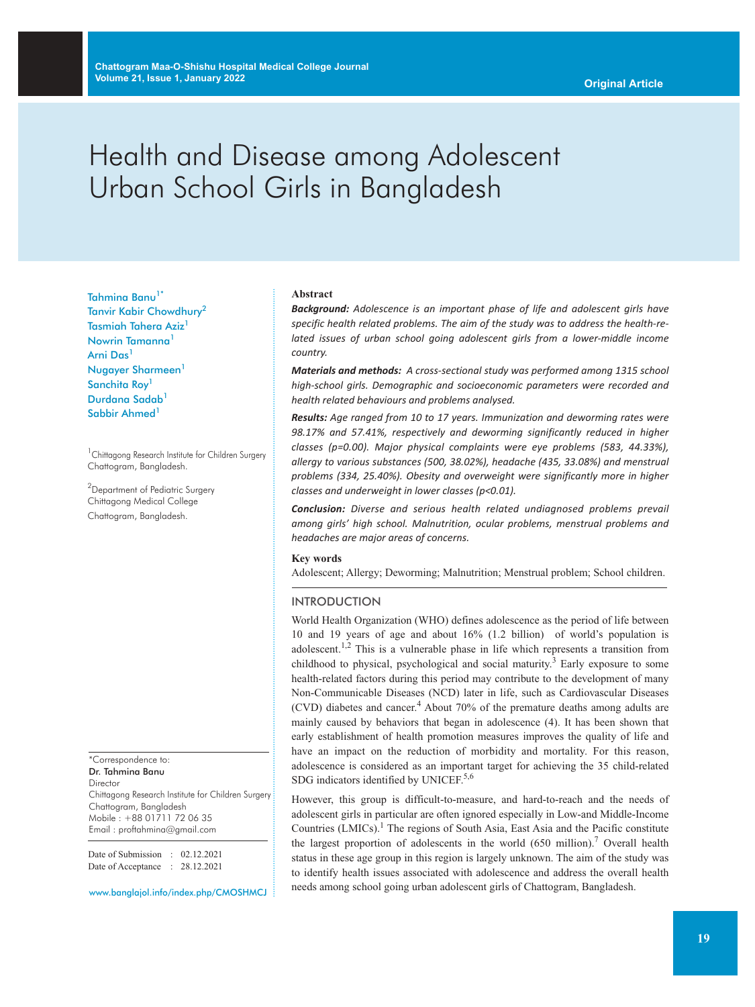# Health and Disease among Adolescent Urban School Girls in Bangladesh

Tahmina Banu<sup>1\*</sup> Tanvir Kabir Chowdhury<sup>2</sup> Tasmiah Tahera Aziz<sup>1</sup> Nowrin Tamanna<sup>1</sup> Arni Das<sup>1</sup> Nugayer Sharmeen<sup>1</sup> Sanchita Roy<sup>1</sup> Durdana Sadab<sup>1</sup> Sabbir Ahmed<sup>1</sup>

<sup>1</sup> Chittagong Research Institute for Children Surgery Chattogram, Bangladesh.

<sup>2</sup>Department of Pediatric Surgery Chittagong Medical College Chattogram, Bangladesh.

\*Correspondence to: Dr. Tahmina Banu Director Chittagong Research Institute for Children Surgery Chattogram, Bangladesh Mobile : +88 01711 72 06 35 Email : proftahmina@gmail.com

Date of Submission : 02.12.2021 Date of Acceptance : 28.12.2021

www.banglajol.info/index.php/CMOSHMCJ

#### **Abstract**

*Background: Adolescence is an important phase of life and adolescent girls have specific health related problems. The aim of the study was to address the health-related issues of urban school going adolescent girls from a lower-middle income country.*

*Materials and methods: A cross-sectional study was performed among 1315 school high-school girls. Demographic and socioeconomic parameters were recorded and health related behaviours and problems analysed.*

*Results: Age ranged from 10 to 17 years. Immunization and deworming rates were 98.17% and 57.41%, respectively and deworming significantly reduced in higher classes (p=0.00). Major physical complaints were eye problems (583, 44.33%), allergy to various substances (500, 38.02%), headache (435, 33.08%) and menstrual problems (334, 25.40%). Obesity and overweight were significantly more in higher classes and underweight in lower classes (p<0.01).*

*Conclusion: Diverse and serious health related undiagnosed problems prevail among girls' high school. Malnutrition, ocular problems, menstrual problems and headaches are major areas of concerns.*

## **Key words**

Adolescent; Allergy; Deworming; Malnutrition; Menstrual problem; School children.

#### **INTRODUCTION**

World Health Organization (WHO) defines adolescence as the period of life between 10 and 19 years of age and about 16% (1.2 billion) of world's population is adolescent.<sup>1,2</sup> This is a vulnerable phase in life which represents a transition from childhood to physical, psychological and social maturity. <sup>3</sup> Early exposure to some health-related factors during this period may contribute to the development of many Non-Communicable Diseases (NCD) later in life, such as Cardiovascular Diseases (CVD) diabetes and cancer. <sup>4</sup> About 70% of the premature deaths among adults are mainly caused by behaviors that began in adolescence (4). It has been shown that early establishment of health promotion measures improves the quality of life and have an impact on the reduction of morbidity and mortality. For this reason, adolescence is considered as an important target for achieving the 35 child-related SDG indicators identified by UNICEF.<sup>5,6</sup>

However, this group is difficult-to-measure, and hard-to-reach and the needs of adolescent girls in particular are often ignored especially in Low-and Middle-Income Countries (LMICs). <sup>1</sup> The regions of South Asia, East Asia and the Pacific constitute the largest proportion of adolescents in the world  $(650 \text{ million})$ .<sup>7</sup> Overall health status in these age group in this region is largely unknown. The aim of the study was to identify health issues associated with adolescence and address the overall health needs among school going urban adolescent girls of Chattogram, Bangladesh.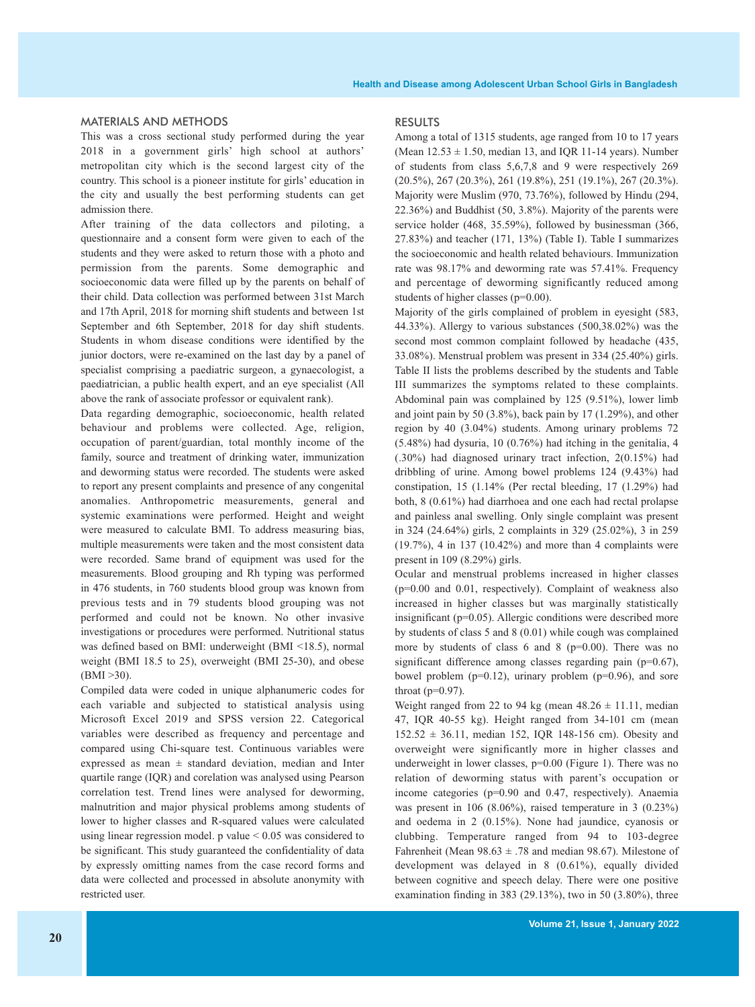#### MATERIALS AND METHODS

This was a cross sectional study performed during the year 2018 in a government girls' high school at authors' metropolitan city which is the second largest city of the country. This school is a pioneer institute for girls' education in the city and usually the best performing students can get admission there.

After training of the data collectors and piloting, a questionnaire and a consent form were given to each of the students and they were asked to return those with a photo and permission from the parents. Some demographic and socioeconomic data were filled up by the parents on behalf of their child. Data collection was performed between 31st March and 17th April, 2018 for morning shift students and between 1st September and 6th September, 2018 for day shift students. Students in whom disease conditions were identified by the junior doctors, were re-examined on the last day by a panel of specialist comprising a paediatric surgeon, a gynaecologist, a paediatrician, a public health expert, and an eye specialist (All above the rank of associate professor or equivalent rank).

Data regarding demographic, socioeconomic, health related behaviour and problems were collected. Age, religion, occupation of parent/guardian, total monthly income of the family, source and treatment of drinking water, immunization and deworming status were recorded. The students were asked to report any present complaints and presence of any congenital anomalies. Anthropometric measurements, general and systemic examinations were performed. Height and weight were measured to calculate BMI. To address measuring bias, multiple measurements were taken and the most consistent data were recorded. Same brand of equipment was used for the measurements. Blood grouping and Rh typing was performed in 476 students, in 760 students blood group was known from previous tests and in 79 students blood grouping was not performed and could not be known. No other invasive investigations or procedures were performed. Nutritional status was defined based on BMI: underweight (BMI <18.5), normal weight (BMI 18.5 to 25), overweight (BMI 25-30), and obese  $(BMI > 30)$ .

Compiled data were coded in unique alphanumeric codes for each variable and subjected to statistical analysis using Microsoft Excel 2019 and SPSS version 22. Categorical variables were described as frequency and percentage and compared using Chi-square test. Continuous variables were expressed as mean ± standard deviation, median and Inter quartile range (IQR) and corelation was analysed using Pearson correlation test. Trend lines were analysed for deworming, malnutrition and major physical problems among students of lower to higher classes and R-squared values were calculated using linear regression model. p value  $\leq 0.05$  was considered to be significant. This study guaranteed the confidentiality of data by expressly omitting names from the case record forms and data were collected and processed in absolute anonymity with restricted user.

#### **RESULTS**

Among a total of 1315 students, age ranged from 10 to 17 years (Mean  $12.53 \pm 1.50$ , median 13, and IQR 11-14 years). Number of students from class 5,6,7,8 and 9 were respectively 269 (20.5%), 267 (20.3%), 261 (19.8%), 251 (19.1%), 267 (20.3%). Majority were Muslim (970, 73.76%), followed by Hindu (294, 22.36%) and Buddhist (50, 3.8%). Majority of the parents were service holder (468, 35.59%), followed by businessman (366, 27.83%) and teacher (171, 13%) (Table I). Table I summarizes the socioeconomic and health related behaviours. Immunization rate was 98.17% and deworming rate was 57.41%. Frequency and percentage of deworming significantly reduced among students of higher classes (p=0.00).

Majority of the girls complained of problem in eyesight (583, 44.33%). Allergy to various substances (500,38.02%) was the second most common complaint followed by headache (435, 33.08%). Menstrual problem was present in 334 (25.40%) girls. Table II lists the problems described by the students and Table III summarizes the symptoms related to these complaints. Abdominal pain was complained by 125 (9.51%), lower limb and joint pain by 50 (3.8%), back pain by 17 (1.29%), and other region by 40 (3.04%) students. Among urinary problems 72 (5.48%) had dysuria, 10 (0.76%) had itching in the genitalia, 4 (.30%) had diagnosed urinary tract infection, 2(0.15%) had dribbling of urine. Among bowel problems 124 (9.43%) had constipation, 15 (1.14% (Per rectal bleeding, 17 (1.29%) had both, 8 (0.61%) had diarrhoea and one each had rectal prolapse and painless anal swelling. Only single complaint was present in 324 (24.64%) girls, 2 complaints in 329 (25.02%), 3 in 259 (19.7%), 4 in 137 (10.42%) and more than 4 complaints were present in 109 (8.29%) girls.

Ocular and menstrual problems increased in higher classes (p=0.00 and 0.01, respectively). Complaint of weakness also increased in higher classes but was marginally statistically insignificant (p=0.05). Allergic conditions were described more by students of class 5 and 8 (0.01) while cough was complained more by students of class 6 and 8 ( $p=0.00$ ). There was no significant difference among classes regarding pain (p=0.67), bowel problem  $(p=0.12)$ , urinary problem  $(p=0.96)$ , and sore throat  $(p=0.97)$ .

Weight ranged from 22 to 94 kg (mean  $48.26 \pm 11.11$ , median 47, IQR 40-55 kg). Height ranged from 34-101 cm (mean  $152.52 \pm 36.11$ , median 152, IQR 148-156 cm). Obesity and overweight were significantly more in higher classes and underweight in lower classes,  $p=0.00$  (Figure 1). There was no relation of deworming status with parent's occupation or income categories (p=0.90 and 0.47, respectively). Anaemia was present in 106 (8.06%), raised temperature in 3 (0.23%) and oedema in 2 (0.15%). None had jaundice, cyanosis or clubbing. Temperature ranged from 94 to 103-degree Fahrenheit (Mean  $98.63 \pm .78$  and median 98.67). Milestone of development was delayed in 8 (0.61%), equally divided between cognitive and speech delay. There were one positive examination finding in 383 (29.13%), two in 50 (3.80%), three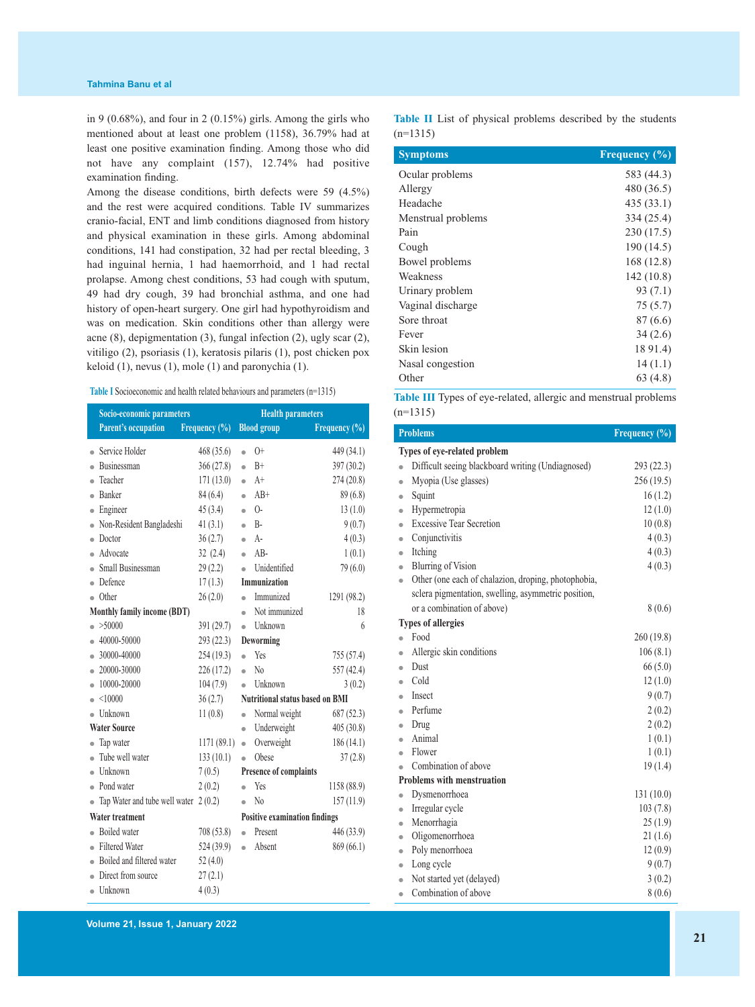in 9 (0.68%), and four in 2 (0.15%) girls. Among the girls who mentioned about at least one problem (1158), 36.79% had at least one positive examination finding. Among those who did not have any complaint (157), 12.74% had positive examination finding.

Among the disease conditions, birth defects were 59 (4.5%) and the rest were acquired conditions. Table IV summarizes cranio-facial, ENT and limb conditions diagnosed from history and physical examination in these girls. Among abdominal conditions, 141 had constipation, 32 had per rectal bleeding, 3 had inguinal hernia, 1 had haemorrhoid, and 1 had rectal prolapse. Among chest conditions, 53 had cough with sputum, 49 had dry cough, 39 had bronchial asthma, and one had history of open-heart surgery. One girl had hypothyroidism and was on medication. Skin conditions other than allergy were acne (8), depigmentation (3), fungal infection (2), ugly scar (2), vitiligo (2), psoriasis (1), keratosis pilaris (1), post chicken pox keloid (1), nevus (1), mole (1) and paronychia (1).

| <b>Table I</b> Socioeconomic and health related behaviours and parameters (n=1315) |  |  |  |
|------------------------------------------------------------------------------------|--|--|--|
|------------------------------------------------------------------------------------|--|--|--|

|                             | Socio-economic parameters     |               |                                      | <b>Health parameters</b>               |               |  |  |
|-----------------------------|-------------------------------|---------------|--------------------------------------|----------------------------------------|---------------|--|--|
|                             | <b>Parent's occupation</b>    | Frequency (%) |                                      | <b>Blood</b> group                     | Frequency (%) |  |  |
| $\bullet$                   | Service Holder                | 468 (35.6)    | $\bullet$                            | $() +$                                 | 449 (34.1)    |  |  |
| $\bullet$                   | Businessman                   | 366(27.8)     | $\bullet$                            | $B+$                                   | 397 (30.2)    |  |  |
| $\bullet$                   | Teacher                       | 171(13.0)     | $\bullet$                            | $A+$                                   | 274 (20.8)    |  |  |
| $\bullet$                   | Banker                        | 84(6.4)       | $\bullet$                            | $AB+$                                  | 89(6.8)       |  |  |
| ۰                           | Engineer                      | 45(3.4)       | $\bullet$                            | $()$ -                                 | 13(1.0)       |  |  |
|                             | Non-Resident Bangladeshi      | 41(3.1)       | $\bullet$                            | $B -$                                  | 9(0.7)        |  |  |
| $\bullet$                   | Doctor                        | 36(2.7)       | $\bullet$                            | $A -$                                  | 4(0.3)        |  |  |
|                             | Advocate                      | 32(2.4)       | $\bullet$                            | $AB -$                                 | 1(0.1)        |  |  |
|                             | Small Businessman             | 29(2.2)       | $\bullet$                            | Unidentified                           | 79 (6.0)      |  |  |
|                             | Defence                       | 17(1.3)       |                                      | Immunization                           |               |  |  |
| ۵                           | Other                         | 26(2.0)       | ò                                    | Immunized                              | 1291 (98.2)   |  |  |
| Monthly family income (BDT) |                               | $\bullet$     | Not immunized                        | 18                                     |               |  |  |
|                             | >50000                        | 391 (29.7)    | $\bullet$                            | Unknown                                | 6             |  |  |
|                             | 40000-50000                   | 293(22.3)     |                                      | Deworming                              |               |  |  |
|                             | 30000-40000                   | 254(19.3)     | ò                                    | Yes                                    | 755 (57.4)    |  |  |
| $\bullet$                   | 20000-30000                   | 226(17.2)     | $\bullet$                            | $\rm No$                               | 557 (42.4)    |  |  |
| $\bullet$                   | 10000-20000                   | 104(7.9)      | $\bullet$                            | Unknown                                | 3(0.2)        |  |  |
|                             | < 10000                       | 36(2.7)       |                                      | <b>Nutritional status based on BMI</b> |               |  |  |
|                             | Unknown                       | 11(0.8)       | $\bullet$                            | Normal weight                          | 687 (52.3)    |  |  |
|                             | <b>Water Source</b>           |               | $\bullet$                            | Underweight                            | 405(30.8)     |  |  |
| $\bullet$                   | Tap water                     | 1171 (89.1)   | $\bullet$                            | Overweight                             | 186(14.1)     |  |  |
| ò                           | Tube well water               | 133(10.1)     | $\bullet$                            | Obese                                  | 37(2.8)       |  |  |
| $\bullet$                   | Unknown                       | 7(0.5)        |                                      | Presence of complaints                 |               |  |  |
| $\bullet$                   | Pond water                    | 2(0.2)        | $\bullet$                            | Yes                                    | 1158 (88.9)   |  |  |
|                             | Tap Water and tube well water | 2(0.2)        | $\bullet$                            | N <sub>0</sub>                         | 157(11.9)     |  |  |
| <b>Water treatment</b>      |                               |               | <b>Positive examination findings</b> |                                        |               |  |  |
|                             | <b>Boiled</b> water           | 708 (53.8)    | $\bullet$                            | Present                                | 446 (33.9)    |  |  |
|                             | <b>Filtered Water</b>         | 524 (39.9)    | $\bullet$                            | Absent                                 | 869 (66.1)    |  |  |
|                             | Boiled and filtered water     | 52(4.0)       |                                      |                                        |               |  |  |
|                             | Direct from source            | 27(2.1)       |                                      |                                        |               |  |  |
|                             | $\bullet$ Unknown             | 4(0.3)        |                                      |                                        |               |  |  |

**Table II** List of physical problems described by the students  $(n=1315)$ 

| <b>Symptoms</b>    | Frequency $(\% )$ |
|--------------------|-------------------|
| Ocular problems    | 583 (44.3)        |
| Allergy            | 480 (36.5)        |
| Headache           | 435(33.1)         |
| Menstrual problems | 334 (25.4)        |
| Pain               | 230 (17.5)        |
| Cough              | 190 (14.5)        |
| Bowel problems     | 168 (12.8)        |
| Weakness           | 142(10.8)         |
| Urinary problem    | 93(7.1)           |
| Vaginal discharge  | 75 (5.7)          |
| Sore throat        | 87 (6.6)          |
| Fever              | 34(2.6)           |
| Skin lesion        | 18 91.4)          |
| Nasal congestion   | 14(1.1)           |
| Other              | 63 (4.8)          |

**Table III** Types of eye-related, allergic and menstrual problems  $(n=1315)$ 

|           | <b>Problems</b>                                     | Frequency (%) |
|-----------|-----------------------------------------------------|---------------|
|           | Types of eye-related problem                        |               |
| $\bullet$ | Difficult seeing blackboard writing (Undiagnosed)   | 293 (22.3)    |
| $\bullet$ | Myopia (Use glasses)                                | 256 (19.5)    |
| $\bullet$ | Squint                                              | 16(1.2)       |
| $\bullet$ | Hypermetropia                                       | 12(1.0)       |
| $\bullet$ | <b>Excessive Tear Secretion</b>                     | 10(0.8)       |
| $\bullet$ | Conjunctivitis                                      | 4(0.3)        |
| $\bullet$ | Itching                                             | 4(0.3)        |
| $\bullet$ | <b>Blurring of Vision</b>                           | 4(0.3)        |
| $\bullet$ | Other (one each of chalazion, droping, photophobia, |               |
|           | sclera pigmentation, swelling, asymmetric position, |               |
|           | or a combination of above)                          | 8(0.6)        |
|           | <b>Types of allergies</b>                           |               |
| $\bullet$ | Food                                                | 260 (19.8)    |
| $\bullet$ | Allergic skin conditions                            | 106(8.1)      |
| $\bullet$ | Dust                                                | 66(5.0)       |
|           | Cold                                                | 12(1.0)       |
| ۵         | Insect                                              | 9(0.7)        |
|           | Perfume                                             | 2(0.2)        |
| ۵         | Drug                                                | 2(0.2)        |
|           | Animal                                              | 1(0.1)        |
|           | Flower                                              | 1(0.1)        |
|           | Combination of above                                | 19(1.4)       |
|           | <b>Problems with menstruation</b>                   |               |
| $\bullet$ | Dysmenorrhoea                                       | 131(10.0)     |
| $\bullet$ | Irregular cycle                                     | 103(7.8)      |
| $\bullet$ | Menorrhagia                                         | 25(1.9)       |
| $\bullet$ | Oligomenorrhoea                                     | 21(1.6)       |
| $\bullet$ | Poly menorrhoea                                     | 12(0.9)       |
| $\bullet$ | Long cycle                                          | 9(0.7)        |
| $\bullet$ | Not started yet (delayed)                           | 3(0.2)        |
| $\bullet$ | Combination of above                                | 8(0.6)        |

**Volume 21, Issue 1, January 2022**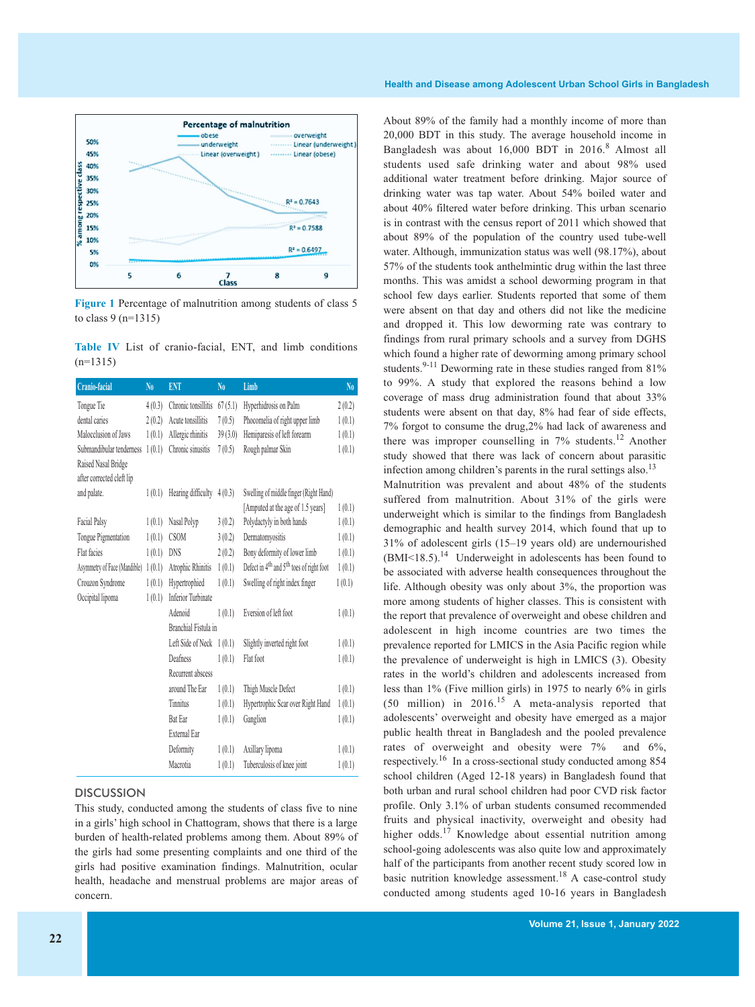

**Figure 1** Percentage of malnutrition among students of class 5 to class 9 (n=1315)

**Table IV** List of cranio-facial, ENT, and limb conditions  $(n=1315)$ 

| Cranio-facial                | No     | <b>ENT</b>                | N <sub>0</sub> | Limb                                                             | $\mathbf{N}\mathbf{0}$ |
|------------------------------|--------|---------------------------|----------------|------------------------------------------------------------------|------------------------|
| Tongue Tie                   | 4(0.3) | Chronic tonsillitis       | 67(5.1)        | Hyperhidrosis on Palm                                            | 2(0.2)                 |
| dental caries                | 2(0.2) | Acute tonsillitis         | 7(0.5)         | Phocomelia of right upper limb                                   | 1(0.1)                 |
| Malocclusion of Jaws         | 1(0.1) | Allergic rhinitis         | 39(3.0)        | Hemiparesis of left forearm                                      | 1(0.1)                 |
| Submandibular tenderness     | 1(0.1) | Chronic sinusitis         | 7(0.5)         | Rough palmar Skin                                                | 1(0.1)                 |
| Raised Nasal Bridge          |        |                           |                |                                                                  |                        |
| after corrected cleft lip    |        |                           |                |                                                                  |                        |
| and palate.                  | 1(0.1) | Hearing difficulty        | 4(0.3)         | Swelling of middle finger (Right Hand)                           |                        |
|                              |        |                           |                | [Amputed at the age of 1.5 years]                                | 1(0.1)                 |
| Facial Palsy                 | 1(0.1) | Nasal Polyp               | 3(0.2)         | Polydactyly in both hands                                        | 1(0.1)                 |
| Tongue Pigmentation          | 1(0.1) | <b>CSOM</b>               | 3(0.2)         | Dermatomyositis                                                  | 1(0.1)                 |
| Flat facies                  | 1(0.1) | DNS                       | 2(0.2)         | Bony deformity of lower limb                                     | 1(0.1)                 |
| Asymmetry of Face (Mandible) | 1(0.1) | Atrophic Rhinitis         | 1(0.1)         | Defect in 4 <sup>th</sup> and 5 <sup>th</sup> toes of right foot | 1(0.1)                 |
| Crouzon Syndrome             | 1(0.1) | Hypertrophied             | 1(0.1)         | Swelling of right index finger                                   | 1(0.1)                 |
| Occipital lipoma             | 1(0.1) | <b>Inferior Turbinate</b> |                |                                                                  |                        |
|                              |        | Adenoid                   | 1(0.1)         | Eversion of left foot                                            | 1(0.1)                 |
|                              |        | Branchial Fistula in      |                |                                                                  |                        |
|                              |        | Left Side of Neck 1(0.1)  |                | Slightly inverted right foot                                     | 1(0.1)                 |
|                              |        | Deafness                  | 1(0.1)         | Flat foot                                                        | 1(0.1)                 |
|                              |        | Recurrent abscess         |                |                                                                  |                        |
|                              |        | around The Ear            | 1(0.1)         | Thigh Muscle Defect                                              | 1(0.1)                 |
|                              |        | Tinnitus                  | 1(0.1)         | Hypertrophic Scar over Right Hand                                | 1(0.1)                 |
|                              |        | <b>Bat Ear</b>            | 1(0.1)         | Ganglion                                                         | 1(0.1)                 |
|                              |        | <b>External Ear</b>       |                |                                                                  |                        |
|                              |        | Deformity                 | 1(0.1)         | Axillary lipoma                                                  | 1(0.1)                 |
|                              |        | Macrotia                  | 1(0.1)         | Tuberculosis of knee joint                                       | 1(0.1)                 |

### **DISCUSSION**

This study, conducted among the students of class five to nine in a girls' high school in Chattogram, shows that there is a large burden of health-related problems among them. About 89% of the girls had some presenting complaints and one third of the girls had positive examination findings. Malnutrition, ocular health, headache and menstrual problems are major areas of concern.

About 89% of the family had a monthly income of more than 20,000 BDT in this study. The average household income in Bangladesh was about 16,000 BDT in 2016. <sup>8</sup> Almost all students used safe drinking water and about 98% used additional water treatment before drinking. Major source of drinking water was tap water. About 54% boiled water and about 40% filtered water before drinking. This urban scenario is in contrast with the census report of 2011 which showed that about 89% of the population of the country used tube-well water. Although, immunization status was well (98.17%), about 57% of the students took anthelmintic drug within the last three months. This was amidst a school deworming program in that school few days earlier. Students reported that some of them were absent on that day and others did not like the medicine and dropped it. This low deworming rate was contrary to findings from rural primary schools and a survey from DGHS which found a higher rate of deworming among primary school students.  $9-11$  Deworming rate in these studies ranged from 81% to 99%. A study that explored the reasons behind a low coverage of mass drug administration found that about 33% students were absent on that day, 8% had fear of side effects, 7% forgot to consume the drug,2% had lack of awareness and there was improper counselling in  $7\%$  students.<sup>12</sup> Another study showed that there was lack of concern about parasitic infection among children's parents in the rural settings also.<sup>13</sup>

Malnutrition was prevalent and about 48% of the students suffered from malnutrition. About 31% of the girls were underweight which is similar to the findings from Bangladesh demographic and health survey 2014, which found that up to 31% of adolescent girls (15–19 years old) are undernourished (BMI<18.5).<sup>14</sup> Underweight in adolescents has been found to be associated with adverse health consequences throughout the life. Although obesity was only about 3%, the proportion was more among students of higher classes. This is consistent with the report that prevalence of overweight and obese children and adolescent in high income countries are two times the prevalence reported for LMICS in the Asia Pacific region while the prevalence of underweight is high in LMICS (3). Obesity rates in the world's children and adolescents increased from less than 1% (Five million girls) in 1975 to nearly 6% in girls  $(50 \text{ million})$  in 2016.<sup>15</sup> A meta-analysis reported that adolescents' overweight and obesity have emerged as a major public health threat in Bangladesh and the pooled prevalence rates of overweight and obesity were 7% and 6%, respectively.<sup>16</sup> In a cross-sectional study conducted among 854 school children (Aged 12-18 years) in Bangladesh found that both urban and rural school children had poor CVD risk factor profile. Only 3.1% of urban students consumed recommended fruits and physical inactivity, overweight and obesity had higher odds.<sup>17</sup> Knowledge about essential nutrition among school-going adolescents was also quite low and approximately half of the participants from another recent study scored low in basic nutrition knowledge assessment.<sup>18</sup> A case-control study conducted among students aged 10-16 years in Bangladesh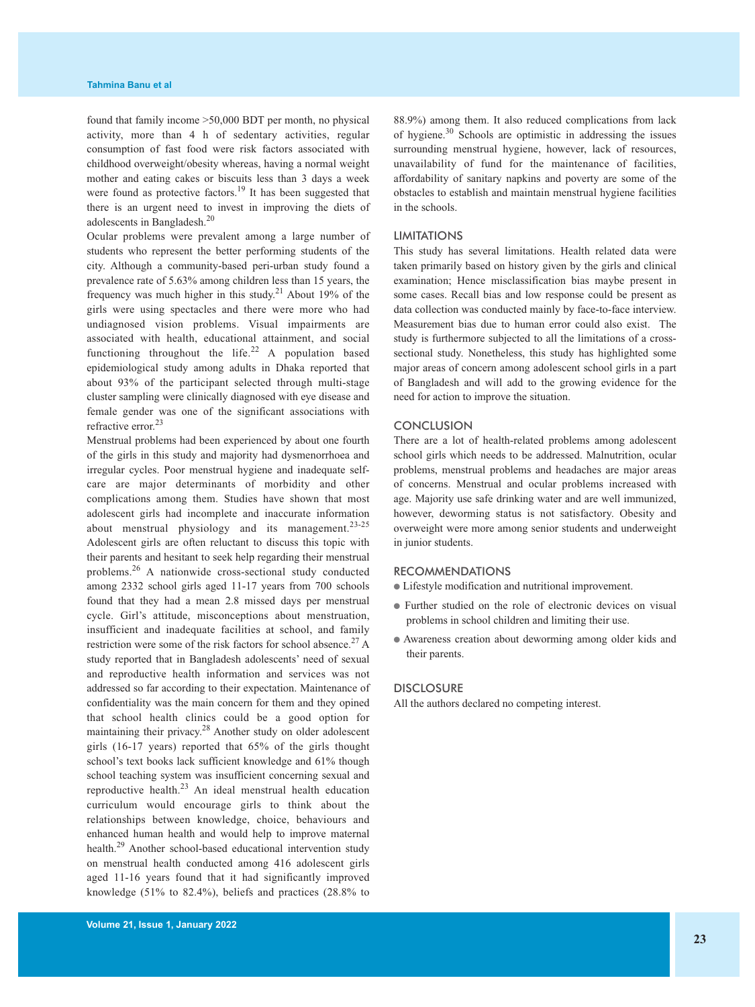found that family income >50,000 BDT per month, no physical activity, more than 4 h of sedentary activities, regular consumption of fast food were risk factors associated with childhood overweight/obesity whereas, having a normal weight mother and eating cakes or biscuits less than 3 days a week were found as protective factors.<sup>19</sup> It has been suggested that there is an urgent need to invest in improving the diets of adolescents in Bangladesh. 20

Ocular problems were prevalent among a large number of students who represent the better performing students of the city. Although a community-based peri-urban study found a prevalence rate of 5.63% among children less than 15 years, the frequency was much higher in this study.<sup>21</sup> About 19% of the girls were using spectacles and there were more who had undiagnosed vision problems. Visual impairments are associated with health, educational attainment, and social functioning throughout the life.<sup>22</sup> A population based epidemiological study among adults in Dhaka reported that about 93% of the participant selected through multi-stage cluster sampling were clinically diagnosed with eye disease and female gender was one of the significant associations with refractive error. 23

Menstrual problems had been experienced by about one fourth of the girls in this study and majority had dysmenorrhoea and irregular cycles. Poor menstrual hygiene and inadequate selfcare are major determinants of morbidity and other complications among them. Studies have shown that most adolescent girls had incomplete and inaccurate information about menstrual physiology and its management.<sup>23-25</sup> Adolescent girls are often reluctant to discuss this topic with their parents and hesitant to seek help regarding their menstrual problems.<sup>26</sup> A nationwide cross-sectional study conducted among 2332 school girls aged 11-17 years from 700 schools found that they had a mean 2.8 missed days per menstrual cycle. Girl's attitude, misconceptions about menstruation, insufficient and inadequate facilities at school, and family restriction were some of the risk factors for school absence.<sup>27</sup> A study reported that in Bangladesh adolescents' need of sexual and reproductive health information and services was not addressed so far according to their expectation. Maintenance of confidentiality was the main concern for them and they opined that school health clinics could be a good option for maintaining their privacy.<sup>28</sup> Another study on older adolescent girls (16-17 years) reported that 65% of the girls thought school's text books lack sufficient knowledge and 61% though school teaching system was insufficient concerning sexual and reproductive health.<sup>23</sup> An ideal menstrual health education curriculum would encourage girls to think about the relationships between knowledge, choice, behaviours and enhanced human health and would help to improve maternal health.<sup>29</sup> Another school-based educational intervention study on menstrual health conducted among 416 adolescent girls aged 11-16 years found that it had significantly improved knowledge (51% to 82.4%), beliefs and practices (28.8% to

88.9%) among them. It also reduced complications from lack of hygiene.<sup>30</sup> Schools are optimistic in addressing the issues surrounding menstrual hygiene, however, lack of resources, unavailability of fund for the maintenance of facilities, affordability of sanitary napkins and poverty are some of the obstacles to establish and maintain menstrual hygiene facilities in the schools.

## LIMITATIONS

This study has several limitations. Health related data were taken primarily based on history given by the girls and clinical examination; Hence misclassification bias maybe present in some cases. Recall bias and low response could be present as data collection was conducted mainly by face-to-face interview. Measurement bias due to human error could also exist. The study is furthermore subjected to all the limitations of a crosssectional study. Nonetheless, this study has highlighted some major areas of concern among adolescent school girls in a part of Bangladesh and will add to the growing evidence for the need for action to improve the situation.

#### **CONCLUSION**

There are a lot of health-related problems among adolescent school girls which needs to be addressed. Malnutrition, ocular problems, menstrual problems and headaches are major areas of concerns. Menstrual and ocular problems increased with age. Majority use safe drinking water and are well immunized, however, deworming status is not satisfactory. Obesity and overweight were more among senior students and underweight in junior students.

#### RECOMMENDATIONS

● Lifestyle modification and nutritional improvement.

- Further studied on the role of electronic devices on visual problems in school children and limiting their use.
- Awareness creation about deworming among older kids and their parents.

## **DISCLOSURE**

All the authors declared no competing interest.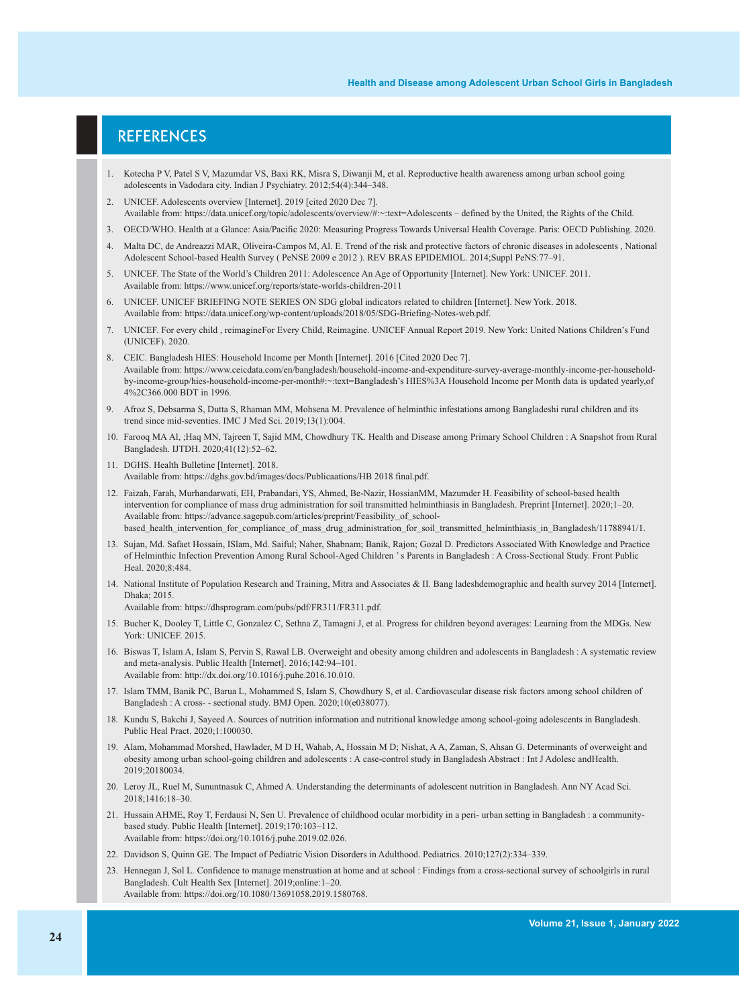## **REFERENCES**

- 1. Kotecha P V, Patel S V, Mazumdar VS, Baxi RK, Misra S, Diwanji M, et al. Reproductive health awareness among urban school going adolescents in Vadodara city. Indian J Psychiatry. 2012;54(4):344–348.
- 2. UNICEF. Adolescents overview [Internet]. 2019 [cited 2020 Dec 7]. Available from: https://data.unicef.org/topic/adolescents/overview/#:~:text=Adolescents – defined by the United, the Rights of the Child.
- 3. OECD/WHO. Health at a Glance: Asia/Pacific 2020: Measuring Progress Towards Universal Health Coverage. Paris: OECD Publishing. 2020.
- 4. Malta DC, de Andreazzi MAR, Oliveira-Campos M, Al. E. Trend of the risk and protective factors of chronic diseases in adolescents , National Adolescent School-based Health Survey ( PeNSE 2009 e 2012 ). REV BRAS EPIDEMIOL. 2014;Suppl PeNS:77–91.
- 5. UNICEF. The State of the World's Children 2011: Adolescence An Age of Opportunity [Internet]. New York: UNICEF. 2011. Available from: https://www.unicef.org/reports/state-worlds-children-2011
- 6. UNICEF. UNICEF BRIEFING NOTE SERIES ON SDG global indicators related to children [Internet]. New York. 2018. Available from: https://data.unicef.org/wp-content/uploads/2018/05/SDG-Briefing-Notes-web.pdf.
- 7. UNICEF. For every child , reimagineFor Every Child, Reimagine. UNICEF Annual Report 2019. New York: United Nations Children's Fund (UNICEF). 2020.
- 8. CEIC. Bangladesh HIES: Household Income per Month [Internet]. 2016 [Cited 2020 Dec 7]. Available from: https://www.ceicdata.com/en/bangladesh/household-income-and-expenditure-survey-average-monthly-income-per-householdby-income-group/hies-household-income-per-month#:~:text=Bangladesh's HIES%3A Household Income per Month data is updated yearly,of 4%2C366.000 BDT in 1996.
- 9. Afroz S, Debsarma S, Dutta S, Rhaman MM, Mohsena M. Prevalence of helminthic infestations among Bangladeshi rural children and its trend since mid-seventies. IMC J Med Sci. 2019;13(1):004.
- 10. Farooq MA Al, ;Haq MN, Tajreen T, Sajid MM, Chowdhury TK. Health and Disease among Primary School Children : A Snapshot from Rural Bangladesh. IJTDH. 2020;41(12):52–62.
- 11. DGHS. Health Bulletine [Internet]. 2018. Available from: https://dghs.gov.bd/images/docs/Publicaations/HB 2018 final.pdf.
- 12. Faizah, Farah, Murhandarwati, EH, Prabandari, YS, Ahmed, Be-Nazir, HossianMM, Mazumder H. Feasibility of school-based health intervention for compliance of mass drug administration for soil transmitted helminthiasis in Bangladesh. Preprint [Internet]. 2020;1–20. Available from: https://advance.sagepub.com/articles/preprint/Feasibility\_of\_schoolbased\_health\_intervention\_for\_compliance\_of\_mass\_drug\_administration\_for\_soil\_transmitted\_helminthiasis\_in\_Bangladesh/11788941/1.
- 13. Sujan, Md. Safaet Hossain, ISlam, Md. Saiful; Naher, Shabnam; Banik, Rajon; Gozal D. Predictors Associated With Knowledge and Practice of Helminthic Infection Prevention Among Rural School-Aged Children 's Parents in Bangladesh : A Cross-Sectional Study. Front Public Heal. 2020;8:484.
- 14. National Institute of Population Research and Training, Mitra and Associates & II. Bang ladeshdemographic and health survey 2014 [Internet]. Dhaka:  $2015$ .
	- Available from: https://dhsprogram.com/pubs/pdf/FR311/FR311.pdf.
- 15. Bucher K, Dooley T, Little C, Gonzalez C, Sethna Z, Tamagni J, et al. Progress for children beyond averages: Learning from the MDGs. New York: UNICEF. 2015.
- 16. Biswas T, Islam A, Islam S, Pervin S, Rawal LB. Overweight and obesity among children and adolescents in Bangladesh : A systematic review and meta-analysis. Public Health [Internet]. 2016;142:94–101. Available from: http://dx.doi.org/10.1016/j.puhe.2016.10.010.
- 17. Islam TMM, Banik PC, Barua L, Mohammed S, Islam S, Chowdhury S, et al. Cardiovascular disease risk factors among school children of Bangladesh : A cross- - sectional study. BMJ Open. 2020;10(e038077).
- 18. Kundu S, Bakchi J, Sayeed A. Sources of nutrition information and nutritional knowledge among school-going adolescents in Bangladesh. Public Heal Pract. 2020;1:100030.
- 19. Alam, Mohammad Morshed, Hawlader, M D H, Wahab, A, Hossain M D; Nishat, A A, Zaman, S, Ahsan G. Determinants of overweight and obesity among urban school-going children and adolescents : A case-control study in Bangladesh Abstract : Int J Adolesc andHealth. 2019;20180034.
- 20. Leroy JL, Ruel M, Sununtnasuk C, Ahmed A. Understanding the determinants of adolescent nutrition in Bangladesh. Ann NY Acad Sci. 2018;1416:18–30.
- 21. Hussain AHME, Roy T, Ferdausi N, Sen U. Prevalence of childhood ocular morbidity in a peri- urban setting in Bangladesh : a communitybased study. Public Health [Internet]. 2019;170:103–112. Available from: https://doi.org/10.1016/j.puhe.2019.02.026.
- 22. Davidson S, Quinn GE. The Impact of Pediatric Vision Disorders in Adulthood. Pediatrics. 2010;127(2):334–339.
- 23. Hennegan J, Sol L. Confidence to manage menstruation at home and at school : Findings from a cross-sectional survey of schoolgirls in rural Bangladesh. Cult Health Sex [Internet]. 2019;online:1–20. Available from: https://doi.org/10.1080/13691058.2019.1580768.